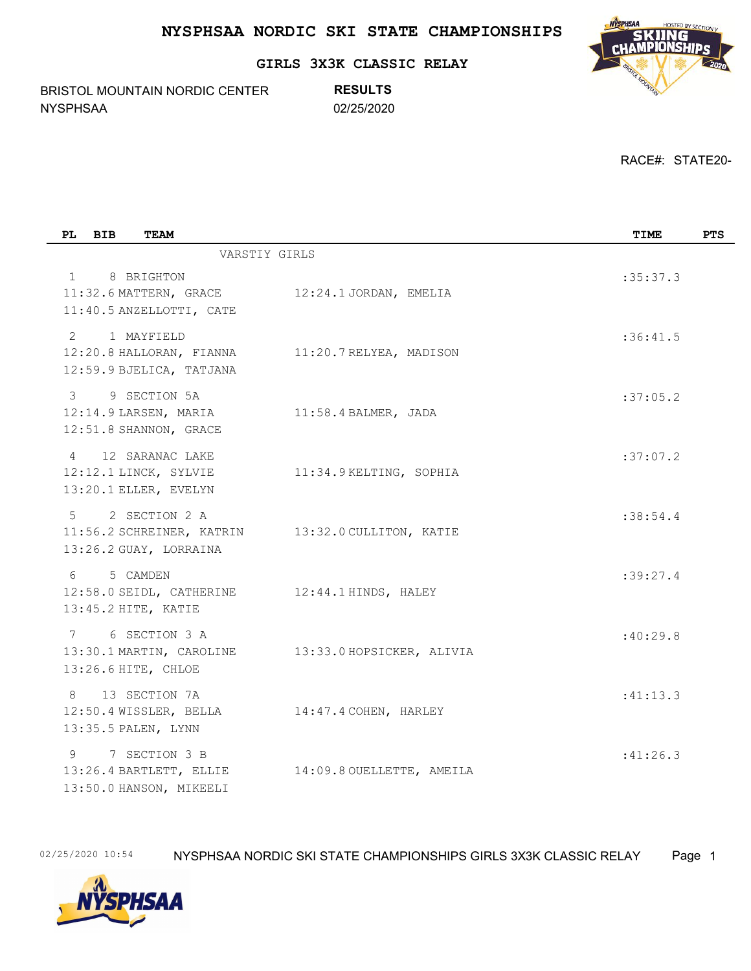**GIRLS 3X3K CLASSIC RELAY**

BRISTOL MOUNTAIN NORDIC CENTER NYSPHSAA 02/25/2020

**RESULTS**



RACE#: STATE20-

| PL<br><b>BIB</b><br><b>TEAM</b>                                                     |                                                   | TIME     | <b>PTS</b> |
|-------------------------------------------------------------------------------------|---------------------------------------------------|----------|------------|
|                                                                                     | VARSTIY GIRLS                                     |          |            |
| $\mathbf{1}$<br>8 BRIGHTON<br>11:32.6 MATTERN, GRACE<br>11:40.5 ANZELLOTTI, CATE    | 12:24.1 JORDAN, EMELIA                            | :35:37.3 |            |
| 1 MAYFIELD<br>2<br>12:20.8 HALLORAN, FIANNA<br>12:59.9 BJELICA, TATJANA             | 11:20.7 RELYEA, MADISON                           | :36:41.5 |            |
| 9 SECTION 5A<br>3<br>12:14.9 LARSEN, MARIA<br>12:51.8 SHANNON, GRACE                | $11:58.4$ BALMER, JADA                            | :37:05.2 |            |
| 12 SARANAC LAKE<br>$\overline{4}$<br>12:12.1 LINCK, SYLVIE<br>13:20.1 ELLER, EVELYN | 11:34.9 KELTING, SOPHIA                           | :37:07.2 |            |
| 2 SECTION 2 A<br>$5 -$<br>13:26.2 GUAY, LORRAINA                                    | 11:56.2 SCHREINER, KATRIN 13:32.0 CULLITON, KATIE | :38:54.4 |            |
| 5 CAMDEN<br>$6 \qquad$<br>12:58.0 SEIDL, CATHERINE<br>13:45.2 HITE, KATIE           | 12:44.1 HINDS, HALEY                              | :39:27.4 |            |
| 6 SECTION 3 A<br>7<br>13:30.1 MARTIN, CAROLINE<br>13:26.6 HITE, CHLOE               | 13:33.0 HOPSICKER, ALIVIA                         | :40:29.8 |            |
| 8<br>13 SECTION 7A<br>12:50.4 WISSLER, BELLA<br>13:35.5 PALEN, LYNN                 | 14:47.4 COHEN, HARLEY                             | :41:13.3 |            |
| 9<br>7 SECTION 3 B<br>13:26.4 BARTLETT, ELLIE<br>13:50.0 HANSON, MIKEELI            | 14:09.8 OUELLETTE, AMEILA                         | :41:26.3 |            |

02/25/2020 10:54 NYSPHSAA NORDIC SKI STATE CHAMPIONSHIPS GIRLS 3X3K CLASSIC RELAY Page 1